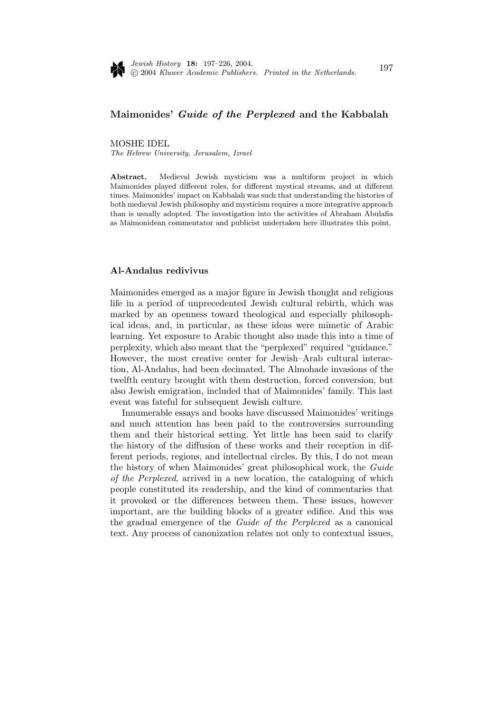

# **Maimonides'** *Guide of the Perplexed* **and the Kabbalah**

MOSHE IDEL

The Hebrew University, Jerusalem, Izrael

**Abstract.** Medieval Jewish mysticism was a multiform project in which Maimonides played different roles, for different mystical streams, and at different times. Maimonides' impact on Kabbalah was such that understanding the histories of both medieval Jewish philosophy and mysticism requires a more integrative approach than is usually adopted. The investigation into the activities of Abraham Abulafia as Maimonidean commentator and publicist undertaken here illustrates this point.

# **Al-Andalus redivivus**

Maimonides emerged as a major figure in Jewish thought and religious life in a period of unprecedented Jewish cultural rebirth, which was marked by an openness toward theological and especially philosophical ideas, and, in particular, as these ideas were mimetic of Arabic learning. Yet exposure to Arabic thought also made this into a time of perplexity, which also meant that the "perplexed" required "guidance." However, the most creative center for Jewish–Arab cultural interaction, Al-Andalus, had been decimated. The Almohade invasions of the twelfth century brought with them destruction, forced conversion, but also Jewish emigration, included that of Maimonides' family. This last event was fateful for subsequent Jewish culture.

Innumerable essays and books have discussed Maimonides' writings and much attention has been paid to the controversies surrounding them and their historical setting. Yet little has been said to clarify the history of the diffusion of these works and their reception in different periods, regions, and intellectual circles. By this, I do not mean the history of when Maimonides' great philosophical work, the Guide of the Perplexed, arrived in a new location, the cataloguing of which people constituted its readership, and the kind of commentaries that it provoked or the differences between them. These issues, however important, are the building blocks of a greater edifice. And this was the gradual emergence of the Guide of the Perplexed as a canonical text. Any process of canonization relates not only to contextual issues,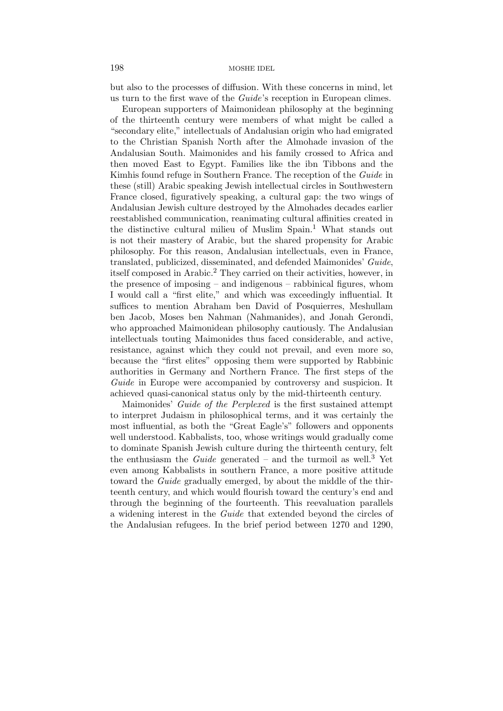but also to the processes of diffusion. With these concerns in mind, let us turn to the first wave of the Guide's reception in European climes.

European supporters of Maimonidean philosophy at the beginning of the thirteenth century were members of what might be called a "secondary elite," intellectuals of Andalusian origin who had emigrated to the Christian Spanish North after the Almohade invasion of the Andalusian South. Maimonides and his family crossed to Africa and then moved East to Egypt. Families like the ibn Tibbons and the Kimhis found refuge in Southern France. The reception of the Guide in these (still) Arabic speaking Jewish intellectual circles in Southwestern France closed, figuratively speaking, a cultural gap: the two wings of Andalusian Jewish culture destroyed by the Almohades decades earlier reestablished communication, reanimating cultural affinities created in the distinctive cultural milieu of Muslim  $S_{\text{D}}$  What stands out is not their mastery of Arabic, but the shared propensity for Arabic philosophy. For this reason, Andalusian intellectuals, even in France, translated, publicized, disseminated, and defended Maimonides' Guide, itself composed in Arabic.<sup>2</sup> They carried on their activities, however, in the presence of imposing – and indigenous – rabbinical figures, whom I would call a "first elite," and which was exceedingly influential. It suffices to mention Abraham ben David of Posquierres, Meshullam ben Jacob, Moses ben Nahman (Nahmanides), and Jonah Gerondi, who approached Maimonidean philosophy cautiously. The Andalusian intellectuals touting Maimonides thus faced considerable, and active, resistance, against which they could not prevail, and even more so, because the "first elites" opposing them were supported by Rabbinic authorities in Germany and Northern France. The first steps of the Guide in Europe were accompanied by controversy and suspicion. It achieved quasi-canonical status only by the mid-thirteenth century.

Maimonides' Guide of the Perplexed is the first sustained attempt to interpret Judaism in philosophical terms, and it was certainly the most influential, as both the "Great Eagle's" followers and opponents well understood. Kabbalists, too, whose writings would gradually come to dominate Spanish Jewish culture during the thirteenth century, felt the enthusiasm the *Guide* generated – and the turmoil as well.<sup>3</sup> Yet even among Kabbalists in southern France, a more positive attitude toward the Guide gradually emerged, by about the middle of the thirteenth century, and which would flourish toward the century's end and through the beginning of the fourteenth. This reevaluation parallels a widening interest in the Guide that extended beyond the circles of the Andalusian refugees. In the brief period between 1270 and 1290,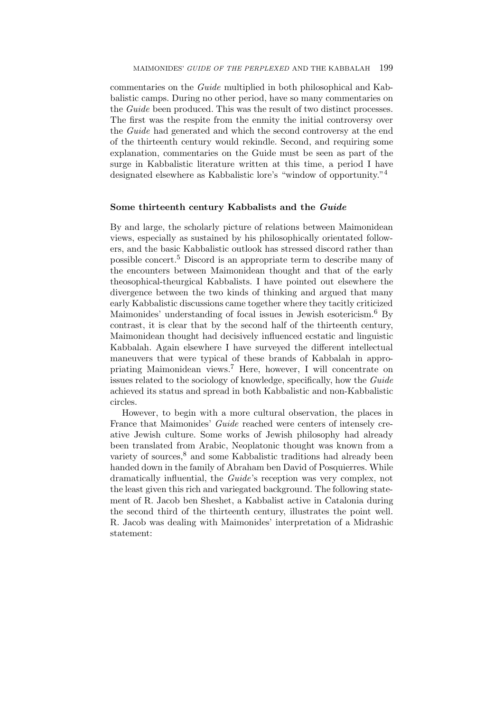commentaries on the Guide multiplied in both philosophical and Kabbalistic camps. During no other period, have so many commentaries on the Guide been produced. This was the result of two distinct processes. The first was the respite from the enmity the initial controversy over the Guide had generated and which the second controversy at the end of the thirteenth century would rekindle. Second, and requiring some explanation, commentaries on the Guide must be seen as part of the surge in Kabbalistic literature written at this time, a period I have designated elsewhere as Kabbalistic lore's "window of opportunity."<sup>4</sup>

# **Some thirteenth century Kabbalists and the** *Guide*

By and large, the scholarly picture of relations between Maimonidean views, especially as sustained by his philosophically orientated followers, and the basic Kabbalistic outlook has stressed discord rather than possible concert.<sup>5</sup> Discord is an appropriate term to describe many of the encounters between Maimonidean thought and that of the early theosophical-theurgical Kabbalists. I have pointed out elsewhere the divergence between the two kinds of thinking and argued that many early Kabbalistic discussions came together where they tacitly criticized Maimonides' understanding of focal issues in Jewish esotericism.<sup>6</sup> By contrast, it is clear that by the second half of the thirteenth century, Maimonidean thought had decisively influenced ecstatic and linguistic Kabbalah. Again elsewhere I have surveyed the different intellectual maneuvers that were typical of these brands of Kabbalah in appropriating Maimonidean views.<sup>7</sup> Here, however, I will concentrate on issues related to the sociology of knowledge, specifically, how the Guide achieved its status and spread in both Kabbalistic and non-Kabbalistic circles.

However, to begin with a more cultural observation, the places in France that Maimonides' Guide reached were centers of intensely creative Jewish culture. Some works of Jewish philosophy had already been translated from Arabic, Neoplatonic thought was known from a variety of sources,<sup>8</sup> and some Kabbalistic traditions had already been handed down in the family of Abraham ben David of Posquierres. While dramatically influential, the Guide's reception was very complex, not the least given this rich and variegated background. The following statement of R. Jacob ben Sheshet, a Kabbalist active in Catalonia during the second third of the thirteenth century, illustrates the point well. R. Jacob was dealing with Maimonides' interpretation of a Midrashic statement: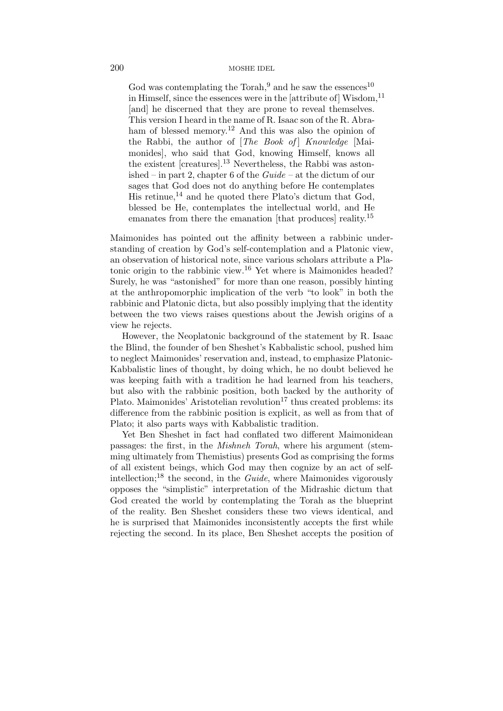God was contemplating the Torah,  $9$  and he saw the essences<sup>10</sup> in Himself, since the essences were in the [attribute of] Wisdom, $^{11}$ [and] he discerned that they are prone to reveal themselves. This version I heard in the name of R. Isaac son of the R. Abraham of blessed memory.<sup>12</sup> And this was also the opinion of the Rabbi, the author of  $[The Book of] Knowledge [Mai$ monides], who said that God, knowing Himself, knows all the existent [creatures].<sup>13</sup> Nevertheless, the Rabbi was astonished – in part 2, chapter 6 of the  $Guide$  – at the dictum of our sages that God does not do anything before He contemplates His retinue, $^{14}$  and he quoted there Plato's dictum that God, blessed be He, contemplates the intellectual world, and He emanates from there the emanation [that produces] reality.<sup>15</sup>

Maimonides has pointed out the affinity between a rabbinic understanding of creation by God's self-contemplation and a Platonic view, an observation of historical note, since various scholars attribute a Platonic origin to the rabbinic view.<sup>16</sup> Yet where is Maimonides headed? Surely, he was "astonished" for more than one reason, possibly hinting at the anthropomorphic implication of the verb "to look" in both the rabbinic and Platonic dicta, but also possibly implying that the identity between the two views raises questions about the Jewish origins of a view he rejects.

However, the Neoplatonic background of the statement by R. Isaac the Blind, the founder of ben Sheshet's Kabbalistic school, pushed him to neglect Maimonides' reservation and, instead, to emphasize Platonic-Kabbalistic lines of thought, by doing which, he no doubt believed he was keeping faith with a tradition he had learned from his teachers, but also with the rabbinic position, both backed by the authority of Plato. Maimonides' Aristotelian revolution<sup>17</sup> thus created problems: its difference from the rabbinic position is explicit, as well as from that of Plato; it also parts ways with Kabbalistic tradition.

Yet Ben Sheshet in fact had conflated two different Maimonidean passages: the first, in the Mishneh Torah, where his argument (stemming ultimately from Themistius) presents God as comprising the forms of all existent beings, which God may then cognize by an act of selfintellection;<sup>18</sup> the second, in the Guide, where Maimonides vigorously opposes the "simplistic" interpretation of the Midrashic dictum that God created the world by contemplating the Torah as the blueprint of the reality. Ben Sheshet considers these two views identical, and he is surprised that Maimonides inconsistently accepts the first while rejecting the second. In its place, Ben Sheshet accepts the position of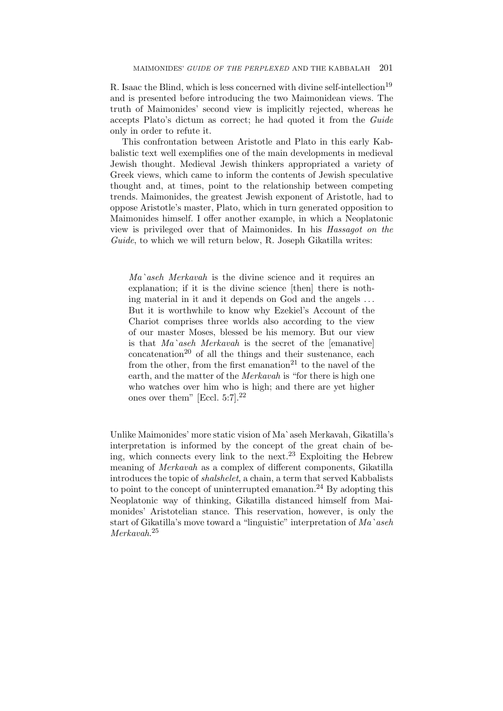R. Isaac the Blind, which is less concerned with divine self-intellection<sup>19</sup> and is presented before introducing the two Maimonidean views. The truth of Maimonides' second view is implicitly rejected, whereas he accepts Plato's dictum as correct; he had quoted it from the Guide only in order to refute it.

This confrontation between Aristotle and Plato in this early Kabbalistic text well exemplifies one of the main developments in medieval Jewish thought. Medieval Jewish thinkers appropriated a variety of Greek views, which came to inform the contents of Jewish speculative thought and, at times, point to the relationship between competing trends. Maimonides, the greatest Jewish exponent of Aristotle, had to oppose Aristotle's master, Plato, which in turn generated opposition to Maimonides himself. I offer another example, in which a Neoplatonic view is privileged over that of Maimonides. In his Hassagot on the Guide, to which we will return below, R. Joseph Gikatilla writes:

Ma'aseh Merkavah is the divine science and it requires an explanation; if it is the divine science [then] there is nothing material in it and it depends on God and the angels ... But it is worthwhile to know why Ezekiel's Account of the Chariot comprises three worlds also according to the view of our master Moses, blessed be his memory. But our view is that Ma`aseh Merkavah is the secret of the [emanative]  $\rm{concatenation}^{20}$  of all the things and their sustenance, each from the other, from the first emanation<sup>21</sup> to the navel of the earth, and the matter of the Merkavah is "for there is high one who watches over him who is high; and there are yet higher ones over them" [Eccl. 5:7].<sup>22</sup>

Unlike Maimonides' more static vision of Ma`aseh Merkavah, Gikatilla's interpretation is informed by the concept of the great chain of being, which connects every link to the next.<sup>23</sup> Exploiting the Hebrew meaning of *Merkavah* as a complex of different components, Gikatilla introduces the topic of shalshelet, a chain, a term that served Kabbalists to point to the concept of uninterrupted emanation.<sup>24</sup> By adopting this Neoplatonic way of thinking, Gikatilla distanced himself from Maimonides' Aristotelian stance. This reservation, however, is only the start of Gikatilla's move toward a "linguistic" interpretation of Ma`aseh Merkavah. 25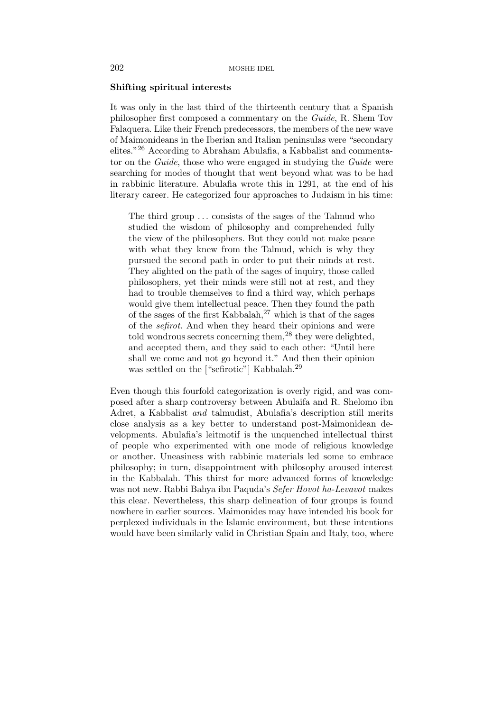# **Shifting spiritual interests**

It was only in the last third of the thirteenth century that a Spanish philosopher first composed a commentary on the Guide, R. Shem Tov Falaquera. Like their French predecessors, the members of the new wave of Maimonideans in the Iberian and Italian peninsulas were "secondary elites."<sup>26</sup> According to Abraham Abulafia, a Kabbalist and commentator on the Guide, those who were engaged in studying the Guide were searching for modes of thought that went beyond what was to be had in rabbinic literature. Abulafia wrote this in 1291, at the end of his literary career. He categorized four approaches to Judaism in his time:

The third group ... consists of the sages of the Talmud who studied the wisdom of philosophy and comprehended fully the view of the philosophers. But they could not make peace with what they knew from the Talmud, which is why they pursued the second path in order to put their minds at rest. They alighted on the path of the sages of inquiry, those called philosophers, yet their minds were still not at rest, and they had to trouble themselves to find a third way, which perhaps would give them intellectual peace. Then they found the path of the sages of the first Kabbalah, $^{27}$  which is that of the sages of the sefirot. And when they heard their opinions and were told wondrous secrets concerning them, $^{28}$  they were delighted, and accepted them, and they said to each other: "Until here shall we come and not go beyond it." And then their opinion was settled on the ["sefirotic"] Kabbalah.<sup>29</sup>

Even though this fourfold categorization is overly rigid, and was composed after a sharp controversy between Abulaifa and R. Shelomo ibn Adret, a Kabbalist and talmudist, Abulafia's description still merits close analysis as a key better to understand post-Maimonidean developments. Abulafia's leitmotif is the unquenched intellectual thirst of people who experimented with one mode of religious knowledge or another. Uneasiness with rabbinic materials led some to embrace philosophy; in turn, disappointment with philosophy aroused interest in the Kabbalah. This thirst for more advanced forms of knowledge was not new. Rabbi Bahya ibn Paquda's Sefer Hovot ha-Levavot makes this clear. Nevertheless, this sharp delineation of four groups is found nowhere in earlier sources. Maimonides may have intended his book for perplexed individuals in the Islamic environment, but these intentions would have been similarly valid in Christian Spain and Italy, too, where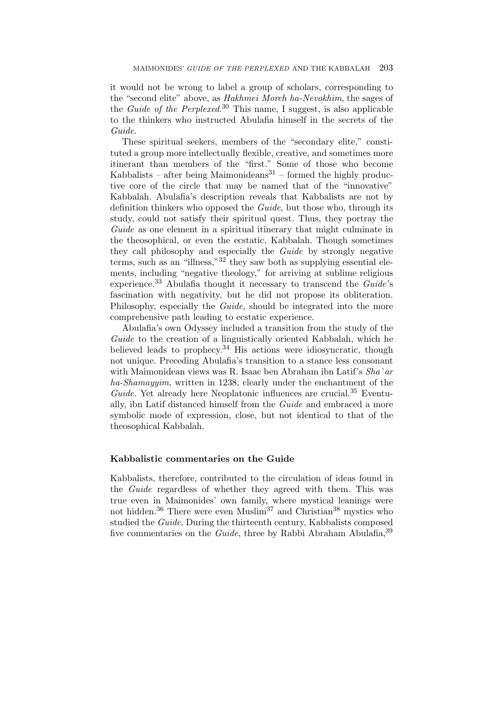it would not be wrong to label a group of scholars, corresponding to the "second elite" above, as Hakhmei Moreh ha-Nevokhim, the sages of the Guide of the Perplexed.<sup>30</sup> This name, I suggest, is also applicable to the thinkers who instructed Abulafia himself in the secrets of the Guide.

These spiritual seekers, members of the "secondary elite," constituted a group more intellectually flexible, creative, and sometimes more itinerant than members of the "first." Some of those who become Kabbalists – after being Maimonideans<sup>31</sup> – formed the highly productive core of the circle that may be named that of the "innovative" Kabbalah. Abulafia's description reveals that Kabbalists are not by definition thinkers who opposed the Guide, but those who, through its study, could not satisfy their spiritual quest. Thus, they portray the Guide as one element in a spiritual itinerary that might culminate in the theosophical, or even the ecstatic, Kabbalah. Though sometimes they call philosophy and especially the Guide by strongly negative terms, such as an "illness,"  $32$  they saw both as supplying essential elements, including "negative theology," for arriving at sublime religious experience.<sup>33</sup> Abulafia thought it necessary to transcend the  $Guide's$ fascination with negativity, but he did not propose its obliteration. Philosophy, especially the Guide, should be integrated into the more comprehensive path leading to ecstatic experience.

Abulafia's own Odyssey included a transition from the study of the Guide to the creation of a linguistically oriented Kabbalah, which he believed leads to prophecy.<sup>34</sup> His actions were idiosyncratic, though not unique. Preceding Abulafia's transition to a stance less consonant with Maimonidean views was R. Isaac ben Abraham ibn Latif's Sha`ar ha-Shamayyim, written in 1238, clearly under the enchantment of the Guide. Yet already here Neoplatonic influences are crucial.<sup>35</sup> Eventually, ibn Latif distanced himself from the Guide and embraced a more symbolic mode of expression, close, but not identical to that of the theosophical Kabbalah.

### **Kabbalistic commentaries on the Guide**

Kabbalists, therefore, contributed to the circulation of ideas found in the Guide regardless of whether they agreed with them. This was true even in Maimonides' own family, where mystical leanings were not hidden.<sup>36</sup> There were even Muslim<sup>37</sup> and Christian<sup>38</sup> mystics who studied the Guide. During the thirteenth century, Kabbalists composed five commentaries on the *Guide*, three by Rabbi Abraham Abulafia,  $39$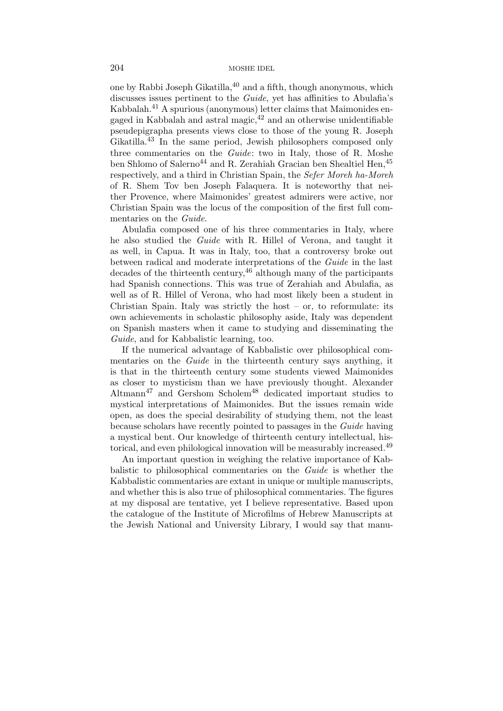one by Rabbi Joseph Gikatilla,<sup>40</sup> and a fifth, though anonymous, which discusses issues pertinent to the Guide, yet has affinities to Abulafia's Kabbalah.<sup>41</sup> A spurious (anonymous) letter claims that Maimonides engaged in Kabbalah and astral magic, $42$  and an otherwise unidentifiable pseudepigrapha presents views close to those of the young R. Joseph Gikatilla.<sup>43</sup> In the same period, Jewish philosophers composed only three commentaries on the  $Guide$ : two in Italy, those of R. Moshe ben Shlomo of Salerno<sup>44</sup> and R. Zerahiah Gracian ben Shealtiel Hen,<sup>45</sup> respectively, and a third in Christian Spain, the Sefer Moreh ha-Moreh of R. Shem Tov ben Joseph Falaquera. It is noteworthy that neither Provence, where Maimonides' greatest admirers were active, nor Christian Spain was the locus of the composition of the first full commentaries on the Guide.

Abulafia composed one of his three commentaries in Italy, where he also studied the Guide with R. Hillel of Verona, and taught it as well, in Capua. It was in Italy, too, that a controversy broke out between radical and moderate interpretations of the Guide in the last decades of the thirteenth century,  $46$  although many of the participants had Spanish connections. This was true of Zerahiah and Abulafia, as well as of R. Hillel of Verona, who had most likely been a student in Christian Spain. Italy was strictly the host – or, to reformulate: its own achievements in scholastic philosophy aside, Italy was dependent on Spanish masters when it came to studying and disseminating the Guide, and for Kabbalistic learning, too.

If the numerical advantage of Kabbalistic over philosophical commentaries on the Guide in the thirteenth century says anything, it is that in the thirteenth century some students viewed Maimonides as closer to mysticism than we have previously thought. Alexander Altmann<sup>47</sup> and Gershom Scholem<sup>48</sup> dedicated important studies to mystical interpretations of Maimonides. But the issues remain wide open, as does the special desirability of studying them, not the least because scholars have recently pointed to passages in the Guide having a mystical bent. Our knowledge of thirteenth century intellectual, historical, and even philological innovation will be measurably increased.<sup>49</sup>

An important question in weighing the relative importance of Kabbalistic to philosophical commentaries on the Guide is whether the Kabbalistic commentaries are extant in unique or multiple manuscripts, and whether this is also true of philosophical commentaries. The figures at my disposal are tentative, yet I believe representative. Based upon the catalogue of the Institute of Microfilms of Hebrew Manuscripts at the Jewish National and University Library, I would say that manu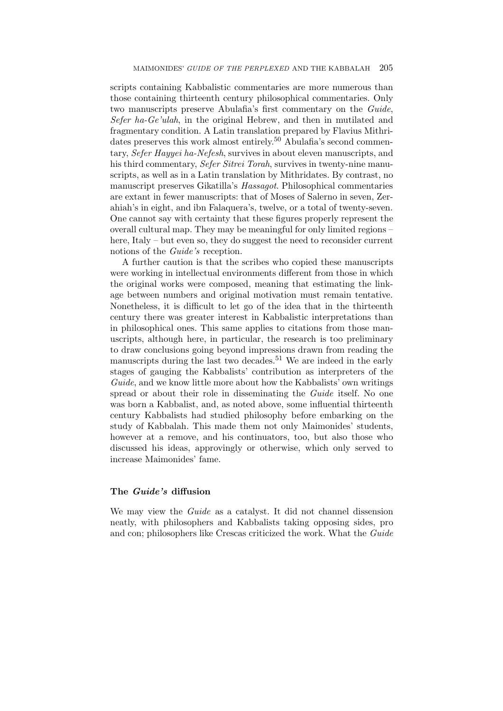scripts containing Kabbalistic commentaries are more numerous than those containing thirteenth century philosophical commentaries. Only two manuscripts preserve Abulafia's first commentary on the Guide, Sefer ha-Ge'ulah, in the original Hebrew, and then in mutilated and fragmentary condition. A Latin translation prepared by Flavius Mithridates preserves this work almost entirely.<sup>50</sup> Abulafia's second commentary, Sefer Hayyei ha-Nefesh, survives in about eleven manuscripts, and his third commentary, Sefer Sitrei Torah, survives in twenty-nine manuscripts, as well as in a Latin translation by Mithridates. By contrast, no manuscript preserves Gikatilla's Hassagot. Philosophical commentaries are extant in fewer manuscripts: that of Moses of Salerno in seven, Zerahiah's in eight, and ibn Falaquera's, twelve, or a total of twenty-seven. One cannot say with certainty that these figures properly represent the overall cultural map. They may be meaningful for only limited regions – here, Italy – but even so, they do suggest the need to reconsider current notions of the *Guide's* reception.

A further caution is that the scribes who copied these manuscripts were working in intellectual environments different from those in which the original works were composed, meaning that estimating the linkage between numbers and original motivation must remain tentative. Nonetheless, it is difficult to let go of the idea that in the thirteenth century there was greater interest in Kabbalistic interpretations than in philosophical ones. This same applies to citations from those manuscripts, although here, in particular, the research is too preliminary to draw conclusions going beyond impressions drawn from reading the manuscripts during the last two decades.<sup>51</sup> We are indeed in the early stages of gauging the Kabbalists' contribution as interpreters of the Guide, and we know little more about how the Kabbalists' own writings spread or about their role in disseminating the *Guide* itself. No one was born a Kabbalist, and, as noted above, some influential thirteenth century Kabbalists had studied philosophy before embarking on the study of Kabbalah. This made them not only Maimonides' students, however at a remove, and his continuators, too, but also those who discussed his ideas, approvingly or otherwise, which only served to increase Maimonides' fame.

## **The** *Guide's* **diffusion**

We may view the *Guide* as a catalyst. It did not channel dissension neatly, with philosophers and Kabbalists taking opposing sides, pro and con; philosophers like Crescas criticized the work. What the Guide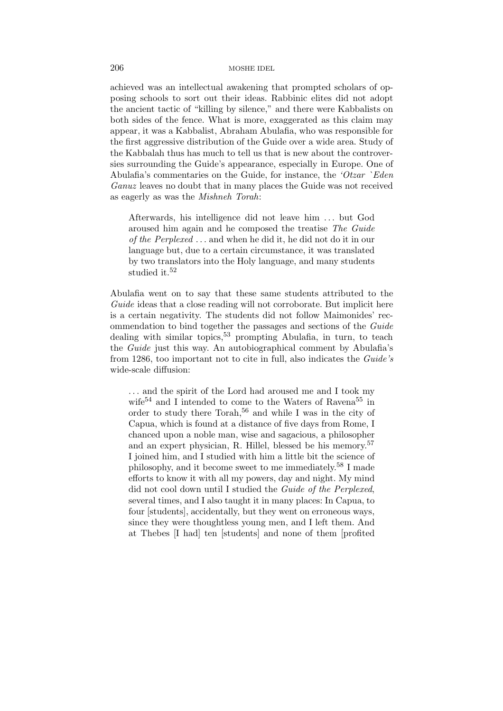achieved was an intellectual awakening that prompted scholars of opposing schools to sort out their ideas. Rabbinic elites did not adopt the ancient tactic of "killing by silence," and there were Kabbalists on both sides of the fence. What is more, exaggerated as this claim may appear, it was a Kabbalist, Abraham Abulafia, who was responsible for the first aggressive distribution of the Guide over a wide area. Study of the Kabbalah thus has much to tell us that is new about the controversies surrounding the Guide's appearance, especially in Europe. One of Abulafia's commentaries on the Guide, for instance, the ' $Otzar$  'Eden Ganuz leaves no doubt that in many places the Guide was not received as eagerly as was the Mishneh Torah:

Afterwards, his intelligence did not leave him ... but God aroused him again and he composed the treatise The Guide of the Perplexed ... and when he did it, he did not do it in our language but, due to a certain circumstance, it was translated by two translators into the Holy language, and many students studied it.<sup>52</sup>

Abulafia went on to say that these same students attributed to the Guide ideas that a close reading will not corroborate. But implicit here is a certain negativity. The students did not follow Maimonides' recommendation to bind together the passages and sections of the Guide dealing with similar topics,  $53$  prompting Abulafia, in turn, to teach the Guide just this way. An autobiographical comment by Abulafia's from 1286, too important not to cite in full, also indicates the Guide's wide-scale diffusion:

... and the spirit of the Lord had aroused me and I took my wife<sup>54</sup> and I intended to come to the Waters of Ravena<sup>55</sup> in order to study there Torah,<sup>56</sup> and while I was in the city of Capua, which is found at a distance of five days from Rome, I chanced upon a noble man, wise and sagacious, a philosopher and an expert physician, R. Hillel, blessed be his memory.<sup>57</sup> I joined him, and I studied with him a little bit the science of philosophy, and it become sweet to me immediately.<sup>58</sup> I made efforts to know it with all my powers, day and night. My mind did not cool down until I studied the Guide of the Perplexed, several times, and I also taught it in many places: In Capua, to four [students], accidentally, but they went on erroneous ways, since they were thoughtless young men, and I left them. And at Thebes [I had] ten [students] and none of them [profited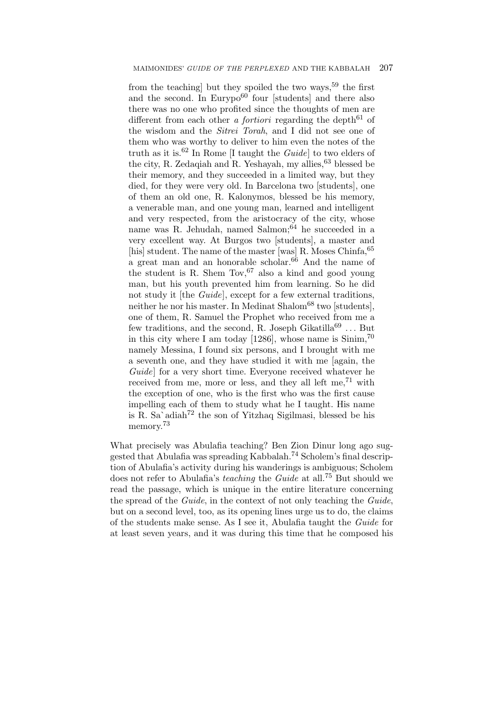from the teaching] but they spoiled the two ways,  $59$  the first and the second. In Eurypo $^{60}$  four [students] and there also there was no one who profited since the thoughts of men are different from each other a *fortiori* regarding the depth<sup>61</sup> of the wisdom and the Sitrei Torah, and I did not see one of them who was worthy to deliver to him even the notes of the truth as it is.<sup>62</sup> In Rome [I taught the *Guide*] to two elders of the city, R. Zedaqiah and R. Yeshayah, my allies, <sup>63</sup> blessed be their memory, and they succeeded in a limited way, but they died, for they were very old. In Barcelona two [students], one of them an old one, R. Kalonymos, blessed be his memory, a venerable man, and one young man, learned and intelligent and very respected, from the aristocracy of the city, whose name was R. Jehudah, named Salmon;<sup>64</sup> he succeeded in a very excellent way. At Burgos two [students], a master and [his] student. The name of the master [was] R. Moses Chinfa, <sup>65</sup> a great man and an honorable scholar.<sup>66</sup> And the name of the student is R. Shem Tov,  $67$  also a kind and good young man, but his youth prevented him from learning. So he did not study it [the *Guide*], except for a few external traditions, neither he nor his master. In Medinat Shalom<sup>68</sup> two [students], one of them, R. Samuel the Prophet who received from me a few traditions, and the second, R. Joseph Gikatilla<sup>69</sup> ... But in this city where I am today [1286], whose name is  $\text{Similar}^{70}$ namely Messina, I found six persons, and I brought with me a seventh one, and they have studied it with me [again, the Guide] for a very short time. Everyone received whatever he received from me, more or less, and they all left me,<sup>71</sup> with the exception of one, who is the first who was the first cause impelling each of them to study what he I taught. His name is R. Sa'adiah<sup>72</sup> the son of Yitzhaq Sigilmasi, blessed be his memory.<sup>73</sup>

What precisely was Abulafia teaching? Ben Zion Dinur long ago suggested that Abulafia was spreading Kabbalah.<sup>74</sup> Scholem's final description of Abulafia's activity during his wanderings is ambiguous; Scholem does not refer to Abulafia's teaching the Guide at all.<sup>75</sup> But should we read the passage, which is unique in the entire literature concerning the spread of the Guide, in the context of not only teaching the Guide, but on a second level, too, as its opening lines urge us to do, the claims of the students make sense. As I see it, Abulafia taught the Guide for at least seven years, and it was during this time that he composed his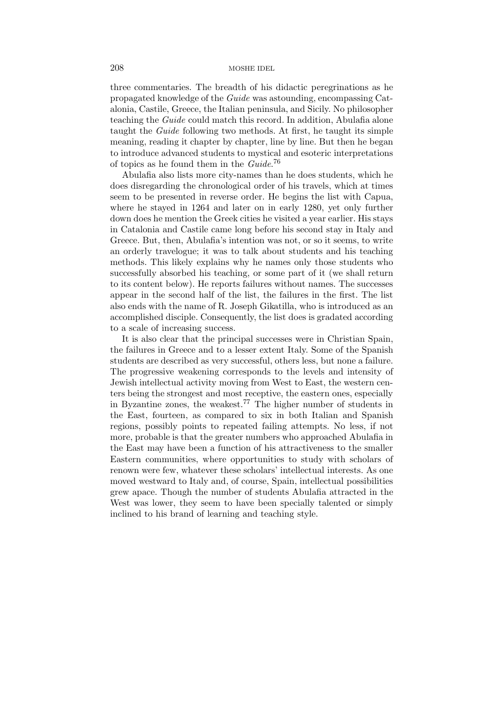three commentaries. The breadth of his didactic peregrinations as he propagated knowledge of the Guide was astounding, encompassing Catalonia, Castile, Greece, the Italian peninsula, and Sicily. No philosopher teaching the Guide could match this record. In addition, Abulafia alone taught the Guide following two methods. At first, he taught its simple meaning, reading it chapter by chapter, line by line. But then he began to introduce advanced students to mystical and esoteric interpretations of topics as he found them in the Guide.<sup>76</sup>

Abulafia also lists more city-names than he does students, which he does disregarding the chronological order of his travels, which at times seem to be presented in reverse order. He begins the list with Capua, where he stayed in 1264 and later on in early 1280, yet only further down does he mention the Greek cities he visited a year earlier. His stays in Catalonia and Castile came long before his second stay in Italy and Greece. But, then, Abulafia's intention was not, or so it seems, to write an orderly travelogue; it was to talk about students and his teaching methods. This likely explains why he names only those students who successfully absorbed his teaching, or some part of it (we shall return to its content below). He reports failures without names. The successes appear in the second half of the list, the failures in the first. The list also ends with the name of R. Joseph Gikatilla, who is introduced as an accomplished disciple. Consequently, the list does is gradated according to a scale of increasing success.

It is also clear that the principal successes were in Christian Spain, the failures in Greece and to a lesser extent Italy. Some of the Spanish students are described as very successful, others less, but none a failure. The progressive weakening corresponds to the levels and intensity of Jewish intellectual activity moving from West to East, the western centers being the strongest and most receptive, the eastern ones, especially in Byzantine zones, the weakest.<sup>77</sup> The higher number of students in the East, fourteen, as compared to six in both Italian and Spanish regions, possibly points to repeated failing attempts. No less, if not more, probable is that the greater numbers who approached Abulafia in the East may have been a function of his attractiveness to the smaller Eastern communities, where opportunities to study with scholars of renown were few, whatever these scholars' intellectual interests. As one moved westward to Italy and, of course, Spain, intellectual possibilities grew apace. Though the number of students Abulafia attracted in the West was lower, they seem to have been specially talented or simply inclined to his brand of learning and teaching style.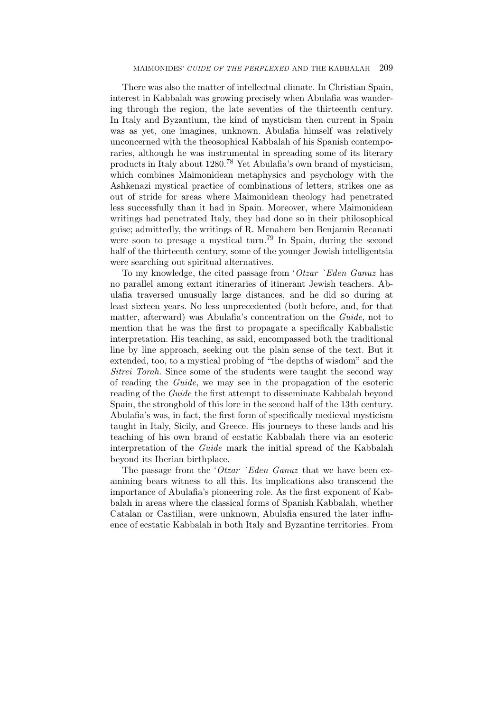There was also the matter of intellectual climate. In Christian Spain, interest in Kabbalah was growing precisely when Abulafia was wandering through the region, the late seventies of the thirteenth century. In Italy and Byzantium, the kind of mysticism then current in Spain was as yet, one imagines, unknown. Abulafia himself was relatively unconcerned with the theosophical Kabbalah of his Spanish contemporaries, although he was instrumental in spreading some of its literary products in Italy about 1280.<sup>78</sup> Yet Abulafia's own brand of mysticism, which combines Maimonidean metaphysics and psychology with the Ashkenazi mystical practice of combinations of letters, strikes one as out of stride for areas where Maimonidean theology had penetrated less successfully than it had in Spain. Moreover, where Maimonidean writings had penetrated Italy, they had done so in their philosophical guise; admittedly, the writings of R. Menahem ben Benjamin Recanati were soon to presage a mystical turn.<sup>79</sup> In Spain, during the second half of the thirteenth century, some of the younger Jewish intelligentsia were searching out spiritual alternatives.

To my knowledge, the cited passage from 'Otzar `Eden Ganuz has no parallel among extant itineraries of itinerant Jewish teachers. Abulafia traversed unusually large distances, and he did so during at least sixteen years. No less unprecedented (both before, and, for that matter, afterward) was Abulafia's concentration on the Guide, not to mention that he was the first to propagate a specifically Kabbalistic interpretation. His teaching, as said, encompassed both the traditional line by line approach, seeking out the plain sense of the text. But it extended, too, to a mystical probing of "the depths of wisdom" and the Sitrei Torah. Since some of the students were taught the second way of reading the Guide, we may see in the propagation of the esoteric reading of the Guide the first attempt to disseminate Kabbalah beyond Spain, the stronghold of this lore in the second half of the 13th century. Abulafia's was, in fact, the first form of specifically medieval mysticism taught in Italy, Sicily, and Greece. His journeys to these lands and his teaching of his own brand of ecstatic Kabbalah there via an esoteric interpretation of the Guide mark the initial spread of the Kabbalah beyond its Iberian birthplace.

The passage from the '*Otzar* '*Eden Ganuz* that we have been examining bears witness to all this. Its implications also transcend the importance of Abulafia's pioneering role. As the first exponent of Kabbalah in areas where the classical forms of Spanish Kabbalah, whether Catalan or Castilian, were unknown, Abulafia ensured the later influence of ecstatic Kabbalah in both Italy and Byzantine territories. From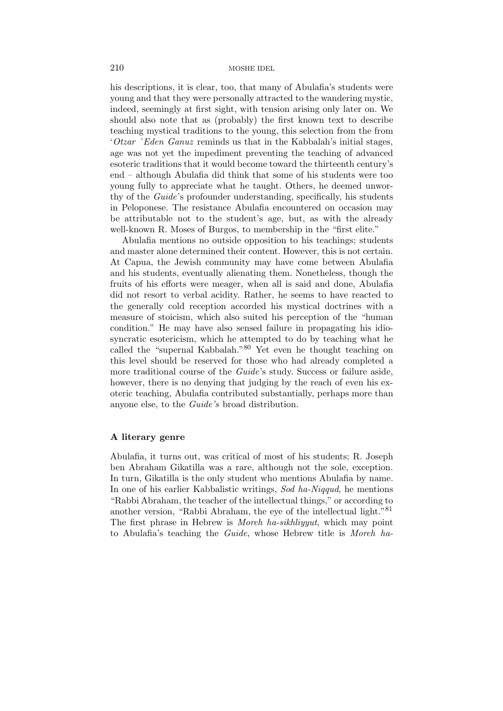his descriptions, it is clear, too, that many of Abulafia's students were young and that they were personally attracted to the wandering mystic, indeed, seemingly at first sight, with tension arising only later on. We should also note that as (probably) the first known text to describe teaching mystical traditions to the young, this selection from the from 'Otzar `Eden Ganuz reminds us that in the Kabbalah's initial stages, age was not yet the impediment preventing the teaching of advanced esoteric traditions that it would become toward the thirteenth century's end – although Abulafia did think that some of his students were too young fully to appreciate what he taught. Others, he deemed unworthy of the Guide's profounder understanding, specifically, his students in Peloponese. The resistance Abulafia encountered on occasion may be attributable not to the student's age, but, as with the already well-known R. Moses of Burgos, to membership in the "first elite."

Abulafia mentions no outside opposition to his teachings; students and master alone determined their content. However, this is not certain. At Capua, the Jewish community may have come between Abulafia and his students, eventually alienating them. Nonetheless, though the fruits of his efforts were meager, when all is said and done, Abulafia did not resort to verbal acidity. Rather, he seems to have reacted to the generally cold reception accorded his mystical doctrines with a measure of stoicism, which also suited his perception of the "human condition." He may have also sensed failure in propagating his idiosyncratic esotericism, which he attempted to do by teaching what he called the "supernal Kabbalah."<sup>80</sup> Yet even he thought teaching on this level should be reserved for those who had already completed a more traditional course of the *Guide*'s study. Success or failure aside, however, there is no denying that judging by the reach of even his exoteric teaching, Abulafia contributed substantially, perhaps more than anyone else, to the Guide's broad distribution.

## **A literary genre**

Abulafia, it turns out, was critical of most of his students; R. Joseph ben Abraham Gikatilla was a rare, although not the sole, exception. In turn, Gikatilla is the only student who mentions Abulafia by name. In one of his earlier Kabbalistic writings, Sod ha-Niqqud, he mentions "Rabbi Abraham, the teacher of the intellectual things," or according to another version, "Rabbi Abraham, the eye of the intellectual light."<sup>81</sup> The first phrase in Hebrew is Moreh ha-sikhliyyut, which may point to Abulafia's teaching the Guide, whose Hebrew title is Moreh ha-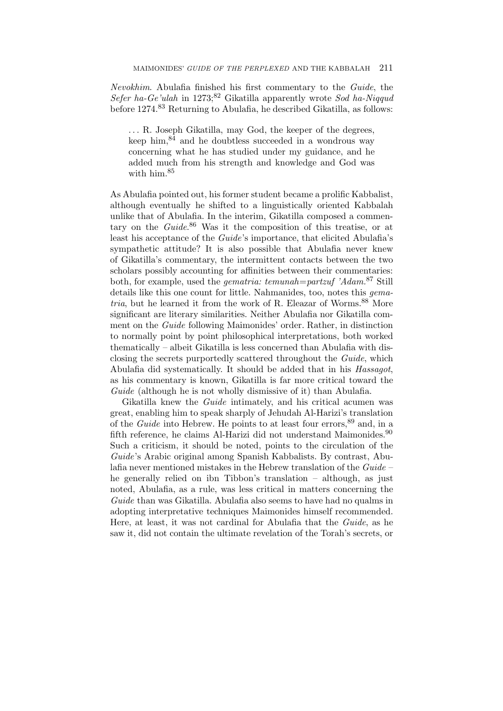Nevokhim. Abulafia finished his first commentary to the Guide, the Sefer ha-Ge'ulah in 1273;<sup>82</sup> Gikatilla apparently wrote Sod ha-Niqqud before 1274.<sup>83</sup> Returning to Abulafia, he described Gikatilla, as follows:

... R. Joseph Gikatilla, may God, the keeper of the degrees, keep him, $84$  and he doubtless succeeded in a wondrous way concerning what he has studied under my guidance, and he added much from his strength and knowledge and God was with him  $85$ 

As Abulafia pointed out, his former student became a prolific Kabbalist, although eventually he shifted to a linguistically oriented Kabbalah unlike that of Abulafia. In the interim, Gikatilla composed a commentary on the Guide.<sup>86</sup> Was it the composition of this treatise, or at least his acceptance of the Guide's importance, that elicited Abulafia's sympathetic attitude? It is also possible that Abulafia never knew of Gikatilla's commentary, the intermittent contacts between the two scholars possibly accounting for affinities between their commentaries: both, for example, used the gematria: temunah=partzuf 'Adam.<sup>87</sup> Still details like this one count for little. Nahmanides, too, notes this gematria, but he learned it from the work of R. Eleazar of Worms.<sup>88</sup> More significant are literary similarities. Neither Abulafia nor Gikatilla comment on the Guide following Maimonides' order. Rather, in distinction to normally point by point philosophical interpretations, both worked thematically – albeit Gikatilla is less concerned than Abulafia with disclosing the secrets purportedly scattered throughout the Guide, which Abulafia did systematically. It should be added that in his *Hassagot*, as his commentary is known, Gikatilla is far more critical toward the Guide (although he is not wholly dismissive of it) than Abulafia.

Gikatilla knew the Guide intimately, and his critical acumen was great, enabling him to speak sharply of Jehudah Al-Harizi's translation of the *Guide* into Hebrew. He points to at least four errors,  $89$  and, in a fifth reference, he claims Al-Harizi did not understand Maimonides.<sup>90</sup> Such a criticism, it should be noted, points to the circulation of the Guide's Arabic original among Spanish Kabbalists. By contrast, Abulafia never mentioned mistakes in the Hebrew translation of the Guide – he generally relied on ibn Tibbon's translation – although, as just noted, Abulafia, as a rule, was less critical in matters concerning the Guide than was Gikatilla. Abulafia also seems to have had no qualms in adopting interpretative techniques Maimonides himself recommended. Here, at least, it was not cardinal for Abulafia that the Guide, as he saw it, did not contain the ultimate revelation of the Torah's secrets, or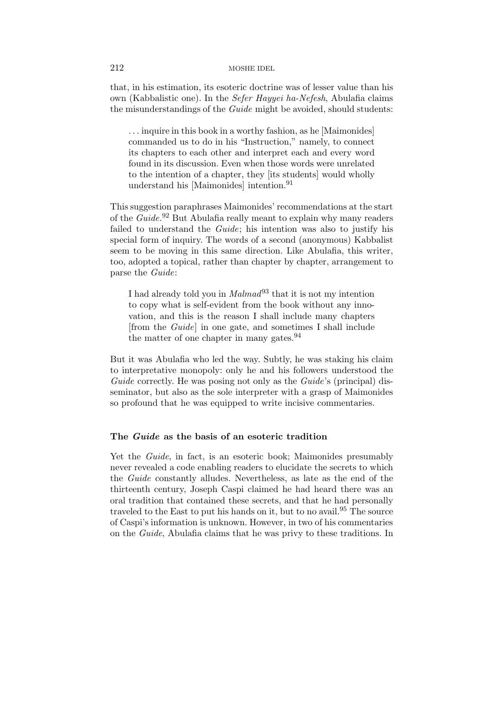that, in his estimation, its esoteric doctrine was of lesser value than his own (Kabbalistic one). In the Sefer Hayyei ha-Nefesh, Abulafia claims the misunderstandings of the *Guide* might be avoided, should students:

... inquire in this book in a worthy fashion, as he [Maimonides] commanded us to do in his "Instruction," namely, to connect its chapters to each other and interpret each and every word found in its discussion. Even when those words were unrelated to the intention of a chapter, they [its students] would wholly understand his [Maimonides] intention.<sup>91</sup>

This suggestion paraphrases Maimonides' recommendations at the start of the  $Guide.^{92}$  But Abulafia really meant to explain why many readers failed to understand the *Guide*; his intention was also to justify his special form of inquiry. The words of a second (anonymous) Kabbalist seem to be moving in this same direction. Like Abulafia, this writer, too, adopted a topical, rather than chapter by chapter, arrangement to parse the Guide:

I had already told you in  $Malmad^{93}$  that it is not my intention to copy what is self-evident from the book without any innovation, and this is the reason I shall include many chapters [from the Guide] in one gate, and sometimes I shall include the matter of one chapter in many gates.<sup>94</sup>

But it was Abulafia who led the way. Subtly, he was staking his claim to interpretative monopoly: only he and his followers understood the *Guide* correctly. He was posing not only as the *Guide*'s (principal) disseminator, but also as the sole interpreter with a grasp of Maimonides so profound that he was equipped to write incisive commentaries.

# **The** *Guide* **as the basis of an esoteric tradition**

Yet the Guide, in fact, is an esoteric book; Maimonides presumably never revealed a code enabling readers to elucidate the secrets to which the Guide constantly alludes. Nevertheless, as late as the end of the thirteenth century, Joseph Caspi claimed he had heard there was an oral tradition that contained these secrets, and that he had personally traveled to the East to put his hands on it, but to no avail.<sup>95</sup> The source of Caspi's information is unknown. However, in two of his commentaries on the Guide, Abulafia claims that he was privy to these traditions. In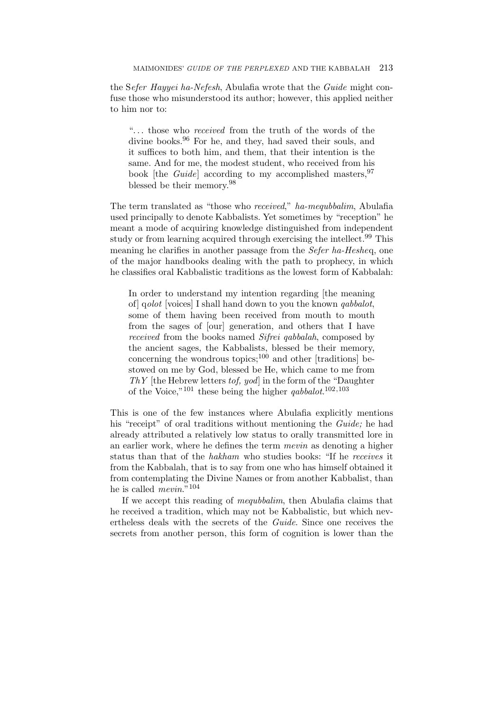the Sefer Hayyei ha-Nefesh, Abulafia wrote that the Guide might confuse those who misunderstood its author; however, this applied neither to him nor to:

"... those who received from the truth of the words of the divine books.<sup>96</sup> For he, and they, had saved their souls, and it suffices to both him, and them, that their intention is the same. And for me, the modest student, who received from his book [the *Guide*] according to my accomplished masters,  $97$ blessed be their memory.<sup>98</sup>

The term translated as "those who received," ha-mequbbalim, Abulafia used principally to denote Kabbalists. Yet sometimes by "reception" he meant a mode of acquiring knowledge distinguished from independent study or from learning acquired through exercising the intellect.<sup>99</sup> This meaning he clarifies in another passage from the *Sefer ha-Hesheq*, one of the major handbooks dealing with the path to prophecy, in which he classifies oral Kabbalistic traditions as the lowest form of Kabbalah:

In order to understand my intention regarding [the meaning of] qolot [voices] I shall hand down to you the known qabbalot, some of them having been received from mouth to mouth from the sages of [our] generation, and others that I have received from the books named Sifrei gabbalah, composed by the ancient sages, the Kabbalists, blessed be their memory, concerning the wondrous topics; $100$  and other [traditions] bestowed on me by God, blessed be He, which came to me from  $ThY$  [the Hebrew letters *tof, yod*] in the form of the "Daughter" of the Voice,"<sup>101</sup> these being the higher  $qabbalot$ <sup>102,103</sup>

This is one of the few instances where Abulafia explicitly mentions his "receipt" of oral traditions without mentioning the *Guide*; he had already attributed a relatively low status to orally transmitted lore in an earlier work, where he defines the term mevin as denoting a higher status than that of the hakham who studies books: "If he receives it from the Kabbalah, that is to say from one who has himself obtained it from contemplating the Divine Names or from another Kabbalist, than he is called mevin."<sup>104</sup>

If we accept this reading of mequbbalim, then Abulafia claims that he received a tradition, which may not be Kabbalistic, but which nevertheless deals with the secrets of the Guide. Since one receives the secrets from another person, this form of cognition is lower than the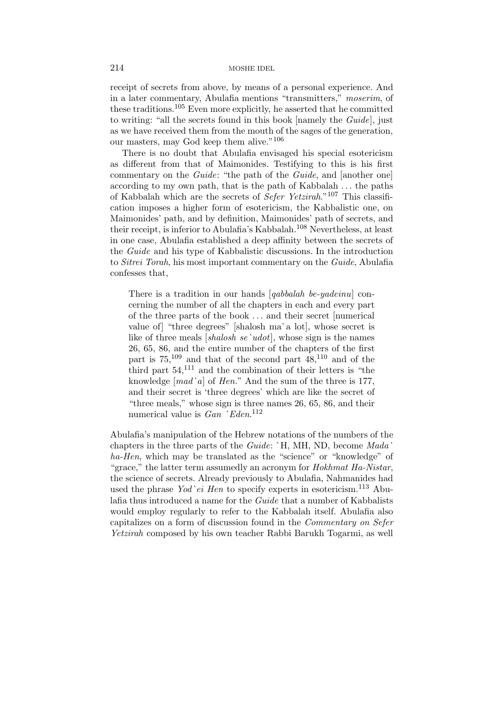receipt of secrets from above, by means of a personal experience. And in a later commentary, Abulafia mentions "transmitters," moserim, of these traditions.<sup>105</sup> Even more explicitly, he asserted that he committed to writing: "all the secrets found in this book [namely the Guide], just as we have received them from the mouth of the sages of the generation, our masters, may God keep them alive."<sup>106</sup>

There is no doubt that Abulafia envisaged his special esotericism as different from that of Maimonides. Testifying to this is his first commentary on the Guide: "the path of the Guide, and [another one] according to my own path, that is the path of Kabbalah ... the paths of Kabbalah which are the secrets of Sefer Yetzirah."<sup>107</sup> This classification imposes a higher form of esotericism, the Kabbalistic one, on Maimonides' path, and by definition, Maimonides' path of secrets, and their receipt, is inferior to Abulafia's Kabbalah.<sup>108</sup> Nevertheless, at least in one case, Abulafia established a deep affinity between the secrets of the Guide and his type of Kabbalistic discussions. In the introduction to Sitrei Torah, his most important commentary on the Guide, Abulafia confesses that,

There is a tradition in our hands [qabbalah be-yadeinu] concerning the number of all the chapters in each and every part of the three parts of the book ... and their secret [numerical value of] "three degrees" [shalosh ma`a lot], whose secret is like of three meals [shalosh se`udot], whose sign is the names 26, 65, 86, and the entire number of the chapters of the first part is  $75,^{109}$  and that of the second part  $48,^{110}$  and of the third part  $54$ ,<sup>111</sup> and the combination of their letters is "the knowledge [mad`a] of Hen." And the sum of the three is 177, and their secret is 'three degrees' which are like the secret of "three meals," whose sign is three names 26, 65, 86, and their numerical value is  $Gan \text{ } \text{ } \text{ } \text{ } End \text{ } n^{112}$ 

Abulafia's manipulation of the Hebrew notations of the numbers of the chapters in the three parts of the Guide: `H, MH, ND, become Mada` ha-Hen, which may be translated as the "science" or "knowledge" of "grace," the latter term assumedly an acronym for Hokhmat Ha-Nistar, the science of secrets. Already previously to Abulafia, Nahmanides had used the phrase Yod`ei Hen to specify experts in esotericism.<sup>113</sup> Abulafia thus introduced a name for the Guide that a number of Kabbalists would employ regularly to refer to the Kabbalah itself. Abulafia also capitalizes on a form of discussion found in the Commentary on Sefer Yetzirah composed by his own teacher Rabbi Barukh Togarmi, as well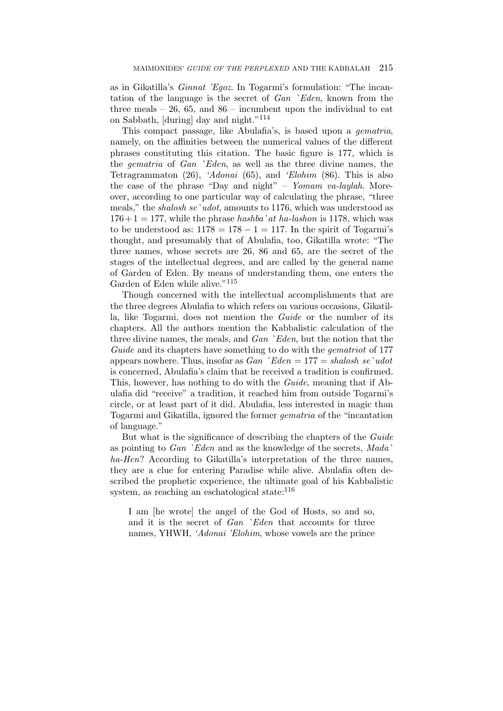as in Gikatilla's Ginnat 'Egoz. In Togarmi's formulation: "The incantation of the language is the secret of  $Gan$  'Eden, known from the three meals  $-26$ , 65, and 86 – incumbent upon the individual to eat on Sabbath, [during] day and night."<sup>114</sup>

This compact passage, like Abulafia's, is based upon a gematria, namely, on the affinities between the numerical values of the different phrases constituting this citation. The basic figure is 177, which is the gematria of Gan `Eden, as well as the three divine names, the Tetragrammaton (26), 'Adonai (65), and 'Elohim (86). This is also the case of the phrase "Day and night" –  $Yomam$  va-laylah. Moreover, according to one particular way of calculating the phrase, "three meals," the shalosh se`udot, amounts to 1176, which was understood as  $176+1=177$ , while the phrase hashba' at ha-lashon is 1178, which was to be understood as:  $1178 = 178 - 1 = 117$ . In the spirit of Togarmi's thought, and presumably that of Abulafia, too, Gikatilla wrote: "The three names, whose secrets are 26, 86 and 65, are the secret of the stages of the intellectual degrees, and are called by the general name of Garden of Eden. By means of understanding them, one enters the Garden of Eden while alive."  $\rm ^{115}$ 

Though concerned with the intellectual accomplishments that are the three degrees Abulafia to which refers on various occasions, Gikatilla, like Togarmi, does not mention the Guide or the number of its chapters. All the authors mention the Kabbalistic calculation of the three divine names, the meals, and *Gan 'Eden*, but the notion that the Guide and its chapters have something to do with the *gematriot* of 177 appears nowhere. Thus, insofar as  $Gan$  'Eden = 177 = shalosh se'udot is concerned, Abulafia's claim that he received a tradition is confirmed. This, however, has nothing to do with the Guide, meaning that if Abulafia did "receive" a tradition, it reached him from outside Togarmi's circle, or at least part of it did. Abulafia, less interested in magic than Togarmi and Gikatilla, ignored the former gematria of the "incantation of language."

But what is the significance of describing the chapters of the Guide as pointing to Gan `Eden and as the knowledge of the secrets, Mada` ha-Hen? According to Gikatilla's interpretation of the three names, they are a clue for entering Paradise while alive. Abulafia often described the prophetic experience, the ultimate goal of his Kabbalistic system, as reaching an eschatological state: $116$ 

I am [he wrote] the angel of the God of Hosts, so and so, and it is the secret of Gan `Eden that accounts for three names, YHWH, 'Adonai 'Elohim, whose vowels are the prince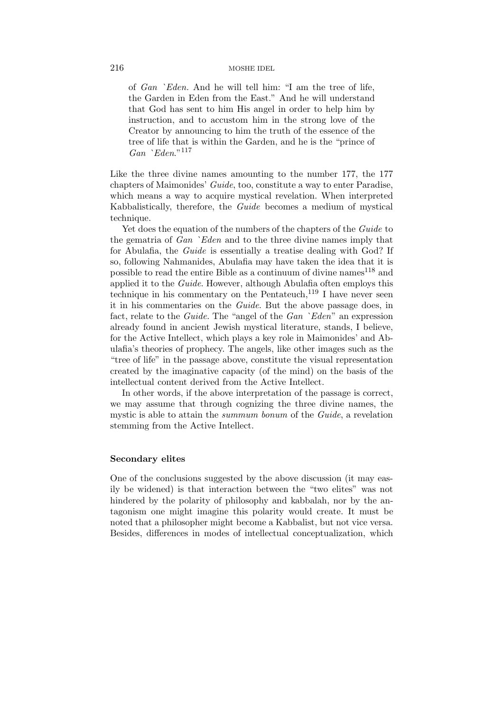of Gan `Eden. And he will tell him: "I am the tree of life, the Garden in Eden from the East." And he will understand that God has sent to him His angel in order to help him by instruction, and to accustom him in the strong love of the Creator by announcing to him the truth of the essence of the tree of life that is within the Garden, and he is the "prince of  $Gan$   $Eden$ ."<sup>117</sup>

Like the three divine names amounting to the number 177, the 177 chapters of Maimonides' Guide, too, constitute a way to enter Paradise, which means a way to acquire mystical revelation. When interpreted Kabbalistically, therefore, the Guide becomes a medium of mystical technique.

Yet does the equation of the numbers of the chapters of the Guide to the gematria of Gan `Eden and to the three divine names imply that for Abulafia, the *Guide* is essentially a treatise dealing with God? If so, following Nahmanides, Abulafia may have taken the idea that it is possible to read the entire Bible as a continuum of divine names<sup>118</sup> and applied it to the Guide. However, although Abulafia often employs this technique in his commentary on the Pentateuch, $^{119}$  I have never seen it in his commentaries on the Guide. But the above passage does, in fact, relate to the *Guide*. The "angel of the *Gan `Eden*" an expression already found in ancient Jewish mystical literature, stands, I believe, for the Active Intellect, which plays a key role in Maimonides' and Abulafia's theories of prophecy. The angels, like other images such as the "tree of life" in the passage above, constitute the visual representation created by the imaginative capacity (of the mind) on the basis of the intellectual content derived from the Active Intellect.

In other words, if the above interpretation of the passage is correct, we may assume that through cognizing the three divine names, the mystic is able to attain the *summum bonum* of the *Guide*, a revelation stemming from the Active Intellect.

## **Secondary elites**

One of the conclusions suggested by the above discussion (it may easily be widened) is that interaction between the "two elites" was not hindered by the polarity of philosophy and kabbalah, nor by the antagonism one might imagine this polarity would create. It must be noted that a philosopher might become a Kabbalist, but not vice versa. Besides, differences in modes of intellectual conceptualization, which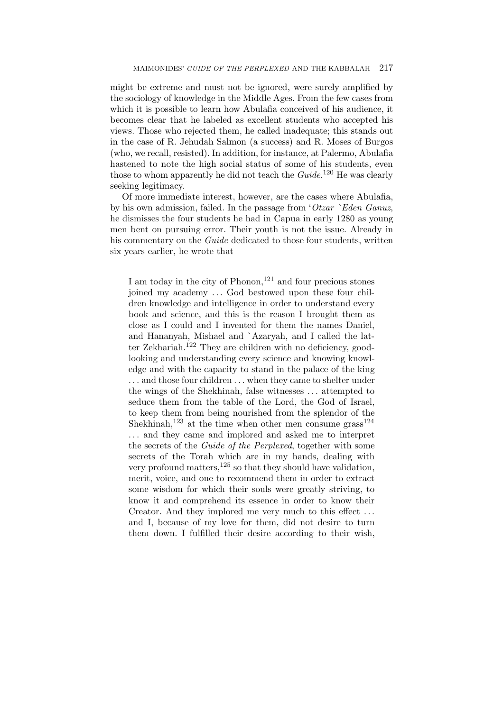might be extreme and must not be ignored, were surely amplified by the sociology of knowledge in the Middle Ages. From the few cases from which it is possible to learn how Abulafia conceived of his audience, it becomes clear that he labeled as excellent students who accepted his views. Those who rejected them, he called inadequate; this stands out in the case of R. Jehudah Salmon (a success) and R. Moses of Burgos (who, we recall, resisted). In addition, for instance, at Palermo, Abulafia hastened to note the high social status of some of his students, even those to whom apparently he did not teach the  $Guide$ .<sup>120</sup> He was clearly seeking legitimacy.

Of more immediate interest, however, are the cases where Abulafia, by his own admission, failed. In the passage from 'Otzar `Eden Ganuz, he dismisses the four students he had in Capua in early 1280 as young men bent on pursuing error. Their youth is not the issue. Already in his commentary on the *Guide* dedicated to those four students, written six years earlier, he wrote that

I am today in the city of Phonon,<sup>121</sup> and four precious stones joined my academy ... God bestowed upon these four children knowledge and intelligence in order to understand every book and science, and this is the reason I brought them as close as I could and I invented for them the names Daniel, and Hananyah, Mishael and `Azaryah, and I called the latter Zekhariah.<sup>122</sup> They are children with no deficiency, goodlooking and understanding every science and knowing knowledge and with the capacity to stand in the palace of the king ... and those four children ... when they came to shelter under the wings of the Shekhinah, false witnesses ... attempted to seduce them from the table of the Lord, the God of Israel, to keep them from being nourished from the splendor of the Shekhinah,<sup>123</sup> at the time when other men consume grass<sup>124</sup> ... and they came and implored and asked me to interpret the secrets of the Guide of the Perplexed, together with some secrets of the Torah which are in my hands, dealing with very profound matters,  $125$  so that they should have validation. merit, voice, and one to recommend them in order to extract some wisdom for which their souls were greatly striving, to know it and comprehend its essence in order to know their Creator. And they implored me very much to this effect ... and I, because of my love for them, did not desire to turn them down. I fulfilled their desire according to their wish,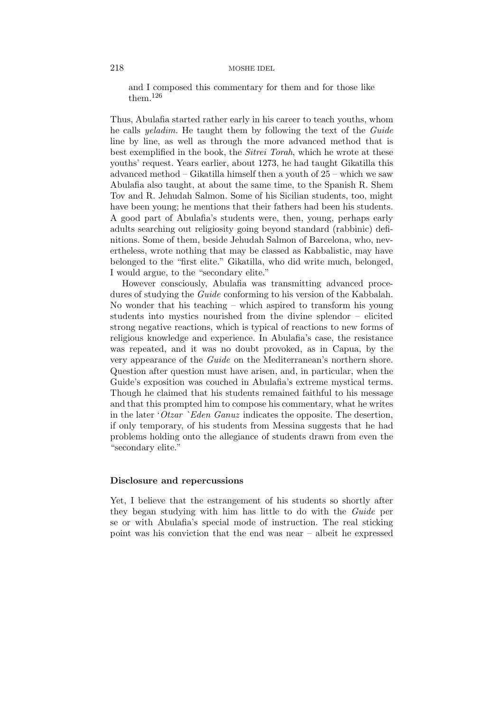and I composed this commentary for them and for those like them.<sup>126</sup>

Thus, Abulafia started rather early in his career to teach youths, whom he calls yeladim. He taught them by following the text of the Guide line by line, as well as through the more advanced method that is best exemplified in the book, the Sitrei Torah, which he wrote at these youths' request. Years earlier, about 1273, he had taught Gikatilla this advanced method – Gikatilla himself then a youth of  $25$  – which we saw Abulafia also taught, at about the same time, to the Spanish R. Shem Tov and R. Jehudah Salmon. Some of his Sicilian students, too, might have been young; he mentions that their fathers had been his students. A good part of Abulafia's students were, then, young, perhaps early adults searching out religiosity going beyond standard (rabbinic) definitions. Some of them, beside Jehudah Salmon of Barcelona, who, nevertheless, wrote nothing that may be classed as Kabbalistic, may have belonged to the "first elite." Gikatilla, who did write much, belonged, I would argue, to the "secondary elite."

However consciously, Abulafia was transmitting advanced procedures of studying the *Guide* conforming to his version of the Kabbalah. No wonder that his teaching – which aspired to transform his young students into mystics nourished from the divine splendor – elicited strong negative reactions, which is typical of reactions to new forms of religious knowledge and experience. In Abulafia's case, the resistance was repeated, and it was no doubt provoked, as in Capua, by the very appearance of the Guide on the Mediterranean's northern shore. Question after question must have arisen, and, in particular, when the Guide's exposition was couched in Abulafia's extreme mystical terms. Though he claimed that his students remained faithful to his message and that this prompted him to compose his commentary, what he writes in the later 'Otzar `Eden Ganuz indicates the opposite. The desertion, if only temporary, of his students from Messina suggests that he had problems holding onto the allegiance of students drawn from even the "secondary elite."

### **Disclosure and repercussions**

Yet, I believe that the estrangement of his students so shortly after they began studying with him has little to do with the Guide per se or with Abulafia's special mode of instruction. The real sticking point was his conviction that the end was near – albeit he expressed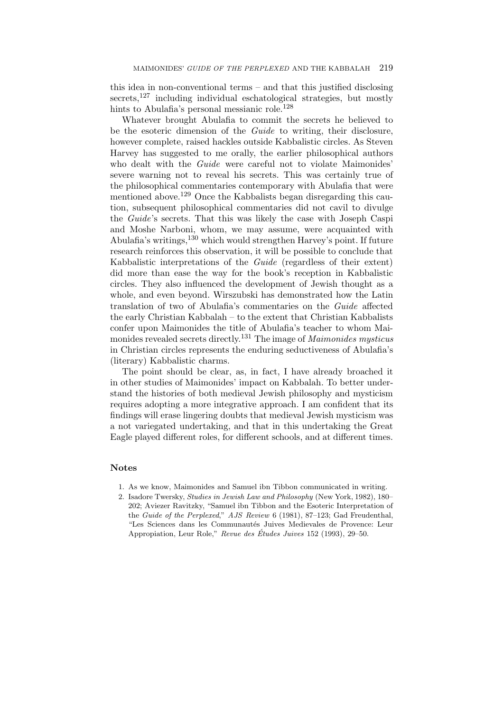this idea in non-conventional terms – and that this justified disclosing  $s$ ecrets,<sup>127</sup> including individual eschatological strategies, but mostly hints to Abulafia's personal messianic role.<sup>128</sup>

Whatever brought Abulafia to commit the secrets he believed to be the esoteric dimension of the Guide to writing, their disclosure, however complete, raised hackles outside Kabbalistic circles. As Steven Harvey has suggested to me orally, the earlier philosophical authors who dealt with the *Guide* were careful not to violate Maimonides' severe warning not to reveal his secrets. This was certainly true of the philosophical commentaries contemporary with Abulafia that were mentioned above.<sup>129</sup> Once the Kabbalists began disregarding this caution, subsequent philosophical commentaries did not cavil to divulge the Guide's secrets. That this was likely the case with Joseph Caspi and Moshe Narboni, whom, we may assume, were acquainted with Abulafia's writings,<sup>130</sup> which would strengthen Harvey's point. If future research reinforces this observation, it will be possible to conclude that Kabbalistic interpretations of the Guide (regardless of their extent) did more than ease the way for the book's reception in Kabbalistic circles. They also influenced the development of Jewish thought as a whole, and even beyond. Wirszubski has demonstrated how the Latin translation of two of Abulafia's commentaries on the Guide affected the early Christian Kabbalah – to the extent that Christian Kabbalists confer upon Maimonides the title of Abulafia's teacher to whom Maimonides revealed secrets directly.<sup>131</sup> The image of *Maimonides mysticus* in Christian circles represents the enduring seductiveness of Abulafia's (literary) Kabbalistic charms.

The point should be clear, as, in fact, I have already broached it in other studies of Maimonides' impact on Kabbalah. To better understand the histories of both medieval Jewish philosophy and mysticism requires adopting a more integrative approach. I am confident that its findings will erase lingering doubts that medieval Jewish mysticism was a not variegated undertaking, and that in this undertaking the Great Eagle played different roles, for different schools, and at different times.

# **Notes**

- 1. As we know, Maimonides and Samuel ibn Tibbon communicated in writing.
- 2. Isadore Twersky, Studies in Jewish Law and Philosophy (New York, 1982), 180– 202; Aviezer Ravitzky, "Samuel ibn Tibbon and the Esoteric Interpretation of the Guide of the Perplexed," AJS Review 6 (1981), 87–123; Gad Freudenthal, "Les Sciences dans les Communautés Juives Medievales de Provence: Leur Appropiation, Leur Role," Revue des Études Juives 152 (1993), 29–50.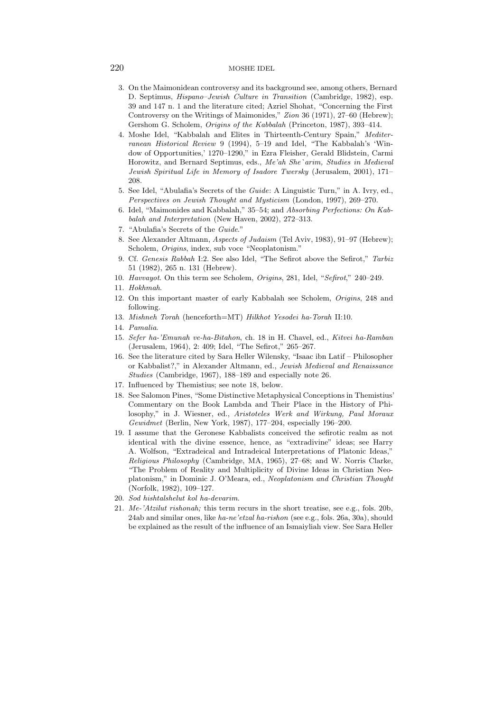- 3. On the Maimonidean controversy and its background see, among others, Bernard D. Septimus, Hispano–Jewish Culture in Transition (Cambridge, 1982), esp. 39 and 147 n. 1 and the literature cited; Azriel Shohat, "Concerning the First Controversy on the Writings of Maimonides," Zion 36 (1971), 27–60 (Hebrew); Gershom G. Scholem, Origins of the Kabbalah (Princeton, 1987), 393–414.
- 4. Moshe Idel, "Kabbalah and Elites in Thirteenth-Century Spain," Mediterranean Historical Review 9 (1994), 5–19 and Idel, "The Kabbalah's 'Window of Opportunities,' 1270–1290," in Ezra Fleisher, Gerald Blidstein, Carmi Horowitz, and Bernard Septimus, eds., Me'ah She`arim, Studies in Medieval Jewish Spiritual Life in Memory of Isadore Twersky (Jerusalem, 2001), 171– 208.
- 5. See Idel, "Abulafia's Secrets of the Guide: A Linguistic Turn," in A. Ivry, ed., Perspectives on Jewish Thought and Mysticism (London, 1997), 269–270.
- 6. Idel, "Maimonides and Kabbalah," 35–54; and Absorbing Perfections: On Kabbalah and Interpretation (New Haven, 2002), 272–313.
- 7. "Abulafia's Secrets of the Guide."
- 8. See Alexander Altmann, Aspects of Judaism (Tel Aviv, 1983), 91–97 (Hebrew); Scholem, Origins, index, sub voce "Neoplatonism."
- 9. Cf. Genesis Rabbah I:2. See also Idel, "The Sefirot above the Sefirot," Tarbiz 51 (1982), 265 n. 131 (Hebrew).
- 10. Havvayot. On this term see Scholem, Origins, 281, Idel, "Sefirot," 240–249.
- 11. Hokhmah.
- 12. On this important master of early Kabbalah see Scholem, Origins, 248 and following.
- 13. Mishneh Torah (henceforth=MT) Hilkhot Yesodei ha-Torah II:10.
- 14. Pamalia.
- 15. Sefer ha-'Emunah ve-ha-Bitahon, ch. 18 in H. Chavel, ed., Kitvei ha-Ramban (Jerusalem, 1964), 2: 409; Idel, "The Sefirot," 265–267.
- 16. See the literature cited by Sara Heller Wilensky, "Isaac ibn Latif Philosopher or Kabbalist?," in Alexander Altmann, ed., Jewish Medieval and Renaissance Studies (Cambridge, 1967), 188–189 and especially note 26.
- 17. Influenced by Themistius; see note 18, below.
- 18. See Salomon Pines, "Some Distinctive Metaphysical Conceptions in Themistius' Commentary on the Book Lambda and Their Place in the History of Philosophy," in J. Wiesner, ed., Aristoteles Werk and Wirkung, Paul Moraux Gewidmet (Berlin, New York, 1987), 177–204, especially 196–200.
- 19. I assume that the Geronese Kabbalists conceived the sefirotic realm as not identical with the divine essence, hence, as "extradivine" ideas; see Harry A. Wolfson, "Extradeical and Intradeical Interpretations of Platonic Ideas," Religious Philosophy (Cambridge, MA, 1965), 27–68; and W. Norris Clarke, "The Problem of Reality and Multiplicity of Divine Ideas in Christian Neoplatonism," in Dominic J. O'Meara, ed., Neoplatonism and Christian Thought (Norfolk, 1982), 109–127.
- 20. Sod hishtalshelut kol ha-devarim.
- 21. Me-'Atzilut rishonah; this term recurs in the short treatise, see e.g., fols. 20b, 24ab and similar ones, like ha-ne'etzal ha-rishon (see e.g., fols. 26a, 30a), should be explained as the result of the influence of an Ismaiyliah view. See Sara Heller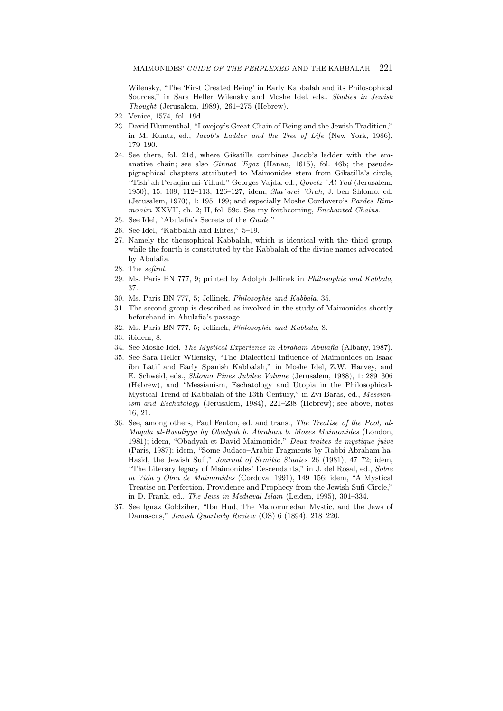Wilensky, "The 'First Created Being' in Early Kabbalah and its Philosophical Sources," in Sara Heller Wilensky and Moshe Idel, eds., Studies in Jewish Thought (Jerusalem, 1989), 261–275 (Hebrew).

- 22. Venice, 1574, fol. 19d.
- 23. David Blumenthal, "Lovejoy's Great Chain of Being and the Jewish Tradition," in M. Kuntz, ed., Jacob's Ladder and the Tree of Life (New York, 1986), 179–190.
- 24. See there, fol. 21d, where Gikatilla combines Jacob's ladder with the emanative chain; see also Ginnat 'Egoz (Hanau, 1615), fol. 46b; the pseudepigraphical chapters attributed to Maimonides stem from Gikatilla's circle, "Tish`ah Peragim mi-Yihud," Georges Vajda, ed., *Qovetz `Al Yad* (Jerusalem, 1950), 15: 109, 112–113, 126–127; idem, Sha`arei 'Orah, J. ben Shlomo, ed. (Jerusalem, 1970), 1: 195, 199; and especially Moshe Cordovero's Pardes Rimmonim XXVII, ch. 2; II, fol. 59c. See my forthcoming, *Enchanted Chains*.
- 25. See Idel, "Abulafia's Secrets of the Guide."
- 26. See Idel, "Kabbalah and Elites," 5–19.
- 27. Namely the theosophical Kabbalah, which is identical with the third group, while the fourth is constituted by the Kabbalah of the divine names advocated by Abulafia.
- 28. The sefirot.
- 29. Ms. Paris BN 777, 9; printed by Adolph Jellinek in Philosophie und Kabbala, 37.
- 30. Ms. Paris BN 777, 5; Jellinek, Philosophie und Kabbala, 35.
- 31. The second group is described as involved in the study of Maimonides shortly beforehand in Abulafia's passage.
- 32. Ms. Paris BN 777, 5; Jellinek, Philosophie und Kabbala, 8.
- 33. ibidem, 8.
- 34. See Moshe Idel, The Mystical Experience in Abraham Abulafia (Albany, 1987).
- 35. See Sara Heller Wilensky, "The Dialectical Influence of Maimonides on Isaac ibn Latif and Early Spanish Kabbalah," in Moshe Idel, Z.W. Harvey, and E. Schweid, eds., Shlomo Pines Jubilee Volume (Jerusalem, 1988), 1: 289–306 (Hebrew), and "Messianism, Eschatology and Utopia in the Philosophical-Mystical Trend of Kabbalah of the 13th Century," in Zvi Baras, ed., Messianism and Eschatology (Jerusalem, 1984), 221–238 (Hebrew); see above, notes 16, 21.
- 36. See, among others, Paul Fenton, ed. and trans., The Treatise of the Pool, al-Maqala al-Hwadiyya by Obadyah b. Abraham b. Moses Maimonides (London, 1981); idem, "Obadyah et David Maimonide," Deux traites de mystique juive (Paris, 1987); idem, "Some Judaeo–Arabic Fragments by Rabbi Abraham ha-Hasid, the Jewish Sufi," Journal of Semitic Studies 26 (1981), 47–72; idem, "The Literary legacy of Maimonides' Descendants," in J. del Rosal, ed., Sobre la Vida y Obra de Maimonides (Cordova, 1991), 149–156; idem, "A Mystical Treatise on Perfection, Providence and Prophecy from the Jewish Sufi Circle," in D. Frank, ed., The Jews in Medieval Islam (Leiden, 1995), 301–334.
- 37. See Ignaz Goldziher, "Ibn Hud, The Mahommedan Mystic, and the Jews of Damascus," Jewish Quarterly Review (OS) 6 (1894), 218–220.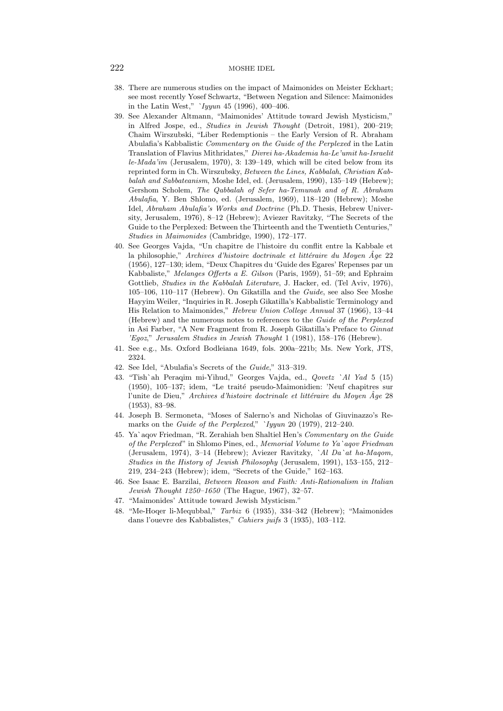- 38. There are numerous studies on the impact of Maimonides on Meister Eckhart; see most recently Yosef Schwartz, "Between Negation and Silence: Maimonides in the Latin West," `Iyyun 45 (1996), 400–406.
- 39. See Alexander Altmann, "Maimonides' Attitude toward Jewish Mysticism," in Alfred Jospe, ed., Studies in Jewish Thought (Detroit, 1981), 200–219; Chaim Wirszubski, "Liber Redemptionis – the Early Version of R. Abraham Abulafia's Kabbalistic Commentary on the Guide of the Perplexed in the Latin Translation of Flavius Mithridates," Divrei ha-Akademia ha-Le'umit ha-Israelit le-Mada'im (Jerusalem, 1970), 3: 139–149, which will be cited below from its reprinted form in Ch. Wirszubsky, Between the Lines, Kabbalah, Christian Kabbalah and Sabbateanism, Moshe Idel, ed. (Jerusalem, 1990), 135–149 (Hebrew); Gershom Scholem, The Qabbalah of Sefer ha-Temunah and of R. Abraham Abulafia, Y. Ben Shlomo, ed. (Jerusalem, 1969), 118–120 (Hebrew); Moshe Idel, Abraham Abulafia's Works and Doctrine (Ph.D. Thesis, Hebrew University, Jerusalem, 1976), 8–12 (Hebrew); Aviezer Ravitzky, "The Secrets of the Guide to the Perplexed: Between the Thirteenth and the Twentieth Centuries," Studies in Maimonides (Cambridge, 1990), 172–177.
- 40. See Georges Vajda, "Un chapitre de l'histoire du conflit entre la Kabbale et la philosophie," Archives d'histoire doctrinale et littéraire du Moyen  $\hat{A}$ ge 22 (1956), 127–130; idem, "Deux Chapitres du 'Guide des Egares' Repenses par un Kabbaliste," Melanges Offerts a E. Gilson (Paris, 1959), 51–59; and Ephraim Gottlieb, Studies in the Kabbalah Literature, J. Hacker, ed. (Tel Aviv, 1976), 105–106, 110–117 (Hebrew). On Gikatilla and the Guide, see also See Moshe Hayyim Weiler, "Inquiries in R. Joseph Gikatilla's Kabbalistic Terminology and His Relation to Maimonides," Hebrew Union College Annual 37 (1966), 13–44 (Hebrew) and the numerous notes to references to the Guide of the Perplexed in Asi Farber, "A New Fragment from R. Joseph Gikatilla's Preface to Ginnat 'Egoz," Jerusalem Studies in Jewish Thought 1 (1981), 158–176 (Hebrew).
- 41. See e.g., Ms. Oxford Bodleiana 1649, fols. 200a–221b; Ms. New York, JTS, 2324.
- 42. See Idel, "Abulafia's Secrets of the Guide," 313–319.
- 43. "Tish`ah Peraqim mi-Yihud," Georges Vajda, ed., Qovetz `Al Yad 5 (15)  $(1950)$ , 105–137; idem, "Le traité pseudo-Maimonidien: 'Neuf chapitres sur l'unite de Dieu," Archives d'histoire doctrinale et littéraire du Moyen  $\hat{A}$ ge 28 (1953), 83–98.
- 44. Joseph B. Sermoneta, "Moses of Salerno's and Nicholas of Giuvinazzo's Remarks on the *Guide of the Perplexed*," *Iyyun* 20 (1979), 212–240.
- 45. Ya`aqov Friedman, "R. Zerahiah ben Shaltiel Hen's Commentary on the Guide of the Perplexed" in Shlomo Pines, ed., Memorial Volume to Ya`aqov Friedman (Jerusalem, 1974), 3–14 (Hebrew); Aviezer Ravitzky, `Al Da`at ha-Maqom, Studies in the History of Jewish Philosophy (Jerusalem, 1991), 153–155, 212– 219, 234–243 (Hebrew); idem, "Secrets of the Guide," 162–163.
- 46. See Isaac E. Barzilai, Between Reason and Faith: Anti-Rationalism in Italian Jewish Thought 1250–1650 (The Hague, 1967), 32–57.
- 47. "Maimonides' Attitude toward Jewish Mysticism."
- 48. "Me-Hoqer li-Mequbbal," Tarbiz 6 (1935), 334–342 (Hebrew); "Maimonides dans l'ouevre des Kabbalistes," Cahiers juifs 3 (1935), 103–112.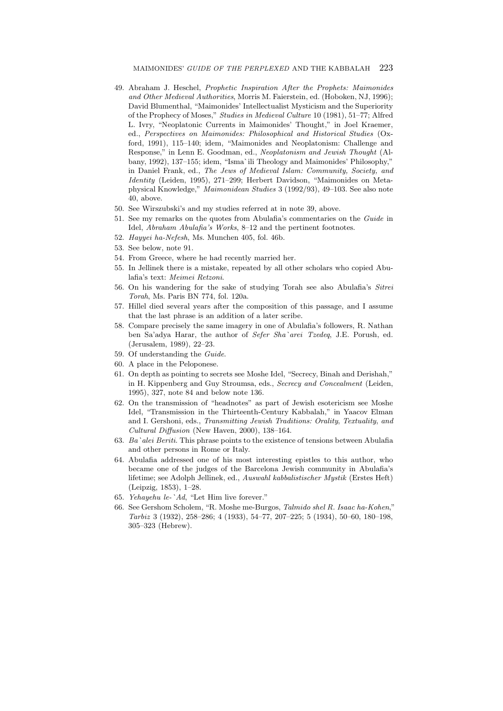- 49. Abraham J. Heschel, Prophetic Inspiration After the Prophets: Maimonides and Other Medieval Authorities, Morris M. Faierstein, ed. (Hoboken, NJ, 1996); David Blumenthal, "Maimonides' Intellectualist Mysticism and the Superiority of the Prophecy of Moses," Studies in Medieval Culture 10 (1981), 51–77; Alfred L. Ivry, "Neoplatonic Currents in Maimonides' Thought," in Joel Kraemer, ed., Perspectives on Maimonides: Philosophical and Historical Studies (Oxford, 1991), 115–140; idem, "Maimonides and Neoplatonism: Challenge and Response," in Lenn E. Goodman, ed., Neoplatonism and Jewish Thought (Albany, 1992), 137–155; idem, "Isma`ili Theology and Maimonides' Philosophy," in Daniel Frank, ed., The Jews of Medieval Islam: Community, Society, and Identity (Leiden, 1995), 271–299; Herbert Davidson, "Maimonides on Metaphysical Knowledge," Maimonidean Studies 3 (1992/93), 49–103. See also note 40, above.
- 50. See Wirszubski's and my studies referred at in note 39, above.
- 51. See my remarks on the quotes from Abulafia's commentaries on the Guide in Idel, Abraham Abulafia's Works, 8–12 and the pertinent footnotes.
- 52. Hayyei ha-Nefesh, Ms. Munchen 405, fol. 46b.
- 53. See below, note 91.
- 54. From Greece, where he had recently married her.
- 55. In Jellinek there is a mistake, repeated by all other scholars who copied Abulafia's text: Meimei Retzoni.
- 56. On his wandering for the sake of studying Torah see also Abulafia's Sitrei Torah, Ms. Paris BN 774, fol. 120a.
- 57. Hillel died several years after the composition of this passage, and I assume that the last phrase is an addition of a later scribe.
- 58. Compare precisely the same imagery in one of Abulafia's followers, R. Nathan ben Sa'adya Harar, the author of Sefer Sha`arei Tzedeq, J.E. Porush, ed. (Jerusalem, 1989), 22–23.
- 59. Of understanding the Guide.
- 60. A place in the Peloponese.
- 61. On depth as pointing to secrets see Moshe Idel, "Secrecy, Binah and Derishah," in H. Kippenberg and Guy Stroumsa, eds., Secrecy and Concealment (Leiden, 1995), 327, note 84 and below note 136.
- 62. On the transmission of "headnotes" as part of Jewish esotericism see Moshe Idel, "Transmission in the Thirteenth-Century Kabbalah," in Yaacov Elman and I. Gershoni, eds., Transmitting Jewish Traditions: Orality, Textuality, and Cultural Diffusion (New Haven, 2000), 138–164.
- 63. Ba`alei Beriti. This phrase points to the existence of tensions between Abulafia and other persons in Rome or Italy.
- 64. Abulafia addressed one of his most interesting epistles to this author, who became one of the judges of the Barcelona Jewish community in Abulafia's lifetime; see Adolph Jellinek, ed., Auswahl kabbalistischer Mystik (Erstes Heft) (Leipzig, 1853), 1–28.
- 65. Yehayehu le-`Ad, "Let Him live forever."
- 66. See Gershom Scholem, "R. Moshe me-Burgos, Talmido shel R. Isaac ha-Kohen," Tarbiz 3 (1932), 258–286; 4 (1933), 54–77, 207–225; 5 (1934), 50–60, 180–198, 305–323 (Hebrew).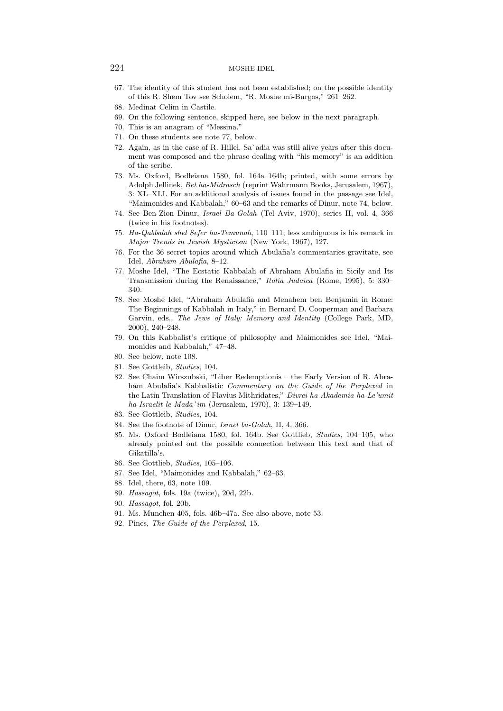- 67. The identity of this student has not been established; on the possible identity of this R. Shem Tov see Scholem, "R. Moshe mi-Burgos," 261–262.
- 68. Medinat Celim in Castile.
- 69. On the following sentence, skipped here, see below in the next paragraph.
- 70. This is an anagram of "Messina."
- 71. On these students see note 77, below.
- 72. Again, as in the case of R. Hillel, Sa`adia was still alive years after this document was composed and the phrase dealing with "his memory" is an addition of the scribe.
- 73. Ms. Oxford, Bodleiana 1580, fol. 164a–164b; printed, with some errors by Adolph Jellinek, Bet ha-Midrasch (reprint Wahrmann Books, Jerusalem, 1967), 3: XL–XLI. For an additional analysis of issues found in the passage see Idel, "Maimonides and Kabbalah," 60–63 and the remarks of Dinur, note 74, below.
- 74. See Ben-Zion Dinur, Israel Ba-Golah (Tel Aviv, 1970), series II, vol. 4, 366 (twice in his footnotes).
- 75. Ha-Qabbalah shel Sefer ha-Temunah, 110–111; less ambiguous is his remark in Major Trends in Jewish Mysticism (New York, 1967), 127.
- 76. For the 36 secret topics around which Abulafia's commentaries gravitate, see Idel, Abraham Abulafia, 8–12.
- 77. Moshe Idel, "The Ecstatic Kabbalah of Abraham Abulafia in Sicily and Its Transmission during the Renaissance," Italia Judaica (Rome, 1995), 5: 330– 340.
- 78. See Moshe Idel, "Abraham Abulafia and Menahem ben Benjamin in Rome: The Beginnings of Kabbalah in Italy," in Bernard D. Cooperman and Barbara Garvin, eds., The Jews of Italy: Memory and Identity (College Park, MD, 2000), 240–248.
- 79. On this Kabbalist's critique of philosophy and Maimonides see Idel, "Maimonides and Kabbalah," 47–48.
- 80. See below, note 108.
- 81. See Gottleib, Studies, 104.
- 82. See Chaim Wirszubski, "Liber Redemptionis the Early Version of R. Abraham Abulafia's Kabbalistic Commentary on the Guide of the Perplexed in the Latin Translation of Flavius Mithridates," Divrei ha-Akademia ha-Le'umit ha-Israelit le-Mada`im (Jerusalem, 1970), 3: 139–149.
- 83. See Gottleib, Studies, 104.
- 84. See the footnote of Dinur, Israel ba-Golah, II, 4, 366.
- 85. Ms. Oxford–Bodleiana 1580, fol. 164b. See Gottlieb, Studies, 104–105, who already pointed out the possible connection between this text and that of Gikatilla's.
- 86. See Gottlieb, Studies, 105–106.
- 87. See Idel, "Maimonides and Kabbalah," 62–63.
- 88. Idel, there, 63, note 109.
- 89. Hassagot, fols. 19a (twice), 20d, 22b.
- 90. Hassagot, fol. 20b.
- 91. Ms. Munchen 405, fols. 46b–47a. See also above, note 53.
- 92. Pines, The Guide of the Perplexed, 15.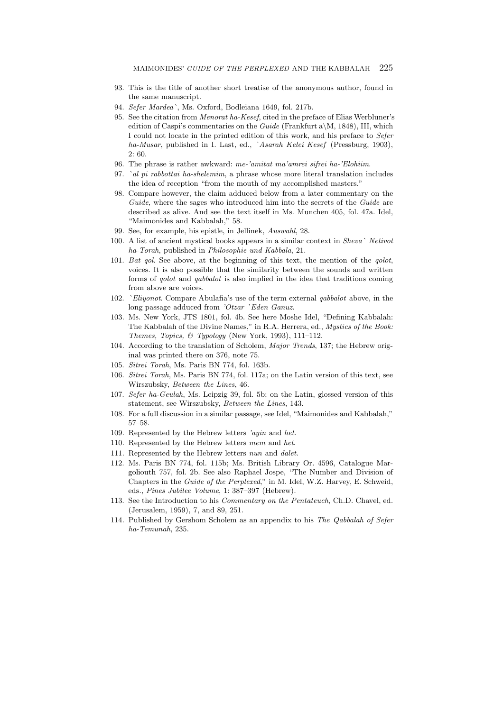- 93. This is the title of another short treatise of the anonymous author, found in the same manuscript.
- 94. Sefer Mardea`, Ms. Oxford, Bodleiana 1649, fol. 217b.
- 95. See the citation from Menorat ha-Kesef, cited in the preface of Elias Werbluner's edition of Caspi's commentaries on the Guide (Frankfurt a $\{M, 1848\}$ , III, which I could not locate in the printed edition of this work, and his preface to Sefer ha-Musar, published in I. Last, ed., `Asarah Kelei Kesef (Pressburg, 1903), 2: 60.
- 96. The phrase is rather awkward: me-'amitat ma'amrei sifrei ha-'Elohiim.
- 97. `al pi rabbottai ha-shelemim, a phrase whose more literal translation includes the idea of reception "from the mouth of my accomplished masters."
- 98. Compare however, the claim adduced below from a later commentary on the Guide, where the sages who introduced him into the secrets of the Guide are described as alive. And see the text itself in Ms. Munchen 405, fol. 47a. Idel, "Maimonides and Kabbalah," 58.
- 99. See, for example, his epistle, in Jellinek, Auswahl, 28.
- 100. A list of ancient mystical books appears in a similar context in Sheva` Netivot ha-Torah, published in Philosophie und Kabbala, 21.
- 101. Bat qol. See above, at the beginning of this text, the mention of the qolot, voices. It is also possible that the similarity between the sounds and written forms of qolot and qabbalot is also implied in the idea that traditions coming from above are voices.
- 102. `Eliyonot. Compare Abulafia's use of the term external qabbalot above, in the long passage adduced from 'Otzar `Eden Ganuz.
- 103. Ms. New York, JTS 1801, fol. 4b. See here Moshe Idel, "Defining Kabbalah: The Kabbalah of the Divine Names," in R.A. Herrera, ed., Mystics of the Book: Themes, Topics, & Typology (New York, 1993), 111-112.
- 104. According to the translation of Scholem, Major Trends, 137; the Hebrew original was printed there on 376, note 75.
- 105. Sitrei Torah, Ms. Paris BN 774, fol. 163b.
- 106. Sitrei Torah, Ms. Paris BN 774, fol. 117a; on the Latin version of this text, see Wirszubsky, Between the Lines, 46.
- 107. Sefer ha-Geulah, Ms. Leipzig 39, fol. 5b; on the Latin, glossed version of this statement, see Wirszubsky, Between the Lines, 143.
- 108. For a full discussion in a similar passage, see Idel, "Maimonides and Kabbalah," 57–58.
- 109. Represented by the Hebrew letters 'ayin and het.
- 110. Represented by the Hebrew letters mem and het.
- 111. Represented by the Hebrew letters nun and dalet.
- 112. Ms. Paris BN 774, fol. 115b; Ms. British Library Or. 4596, Catalogue Margoliouth 757, fol. 2b. See also Raphael Jospe, "The Number and Division of Chapters in the Guide of the Perplexed," in M. Idel, W.Z. Harvey, E. Schweid, eds., Pines Jubilee Volume, 1: 387–397 (Hebrew).
- 113. See the Introduction to his Commentary on the Pentateuch, Ch.D. Chavel, ed. (Jerusalem, 1959), 7, and 89, 251.
- 114. Published by Gershom Scholem as an appendix to his The Qabbalah of Sefer ha-Temunah, 235.